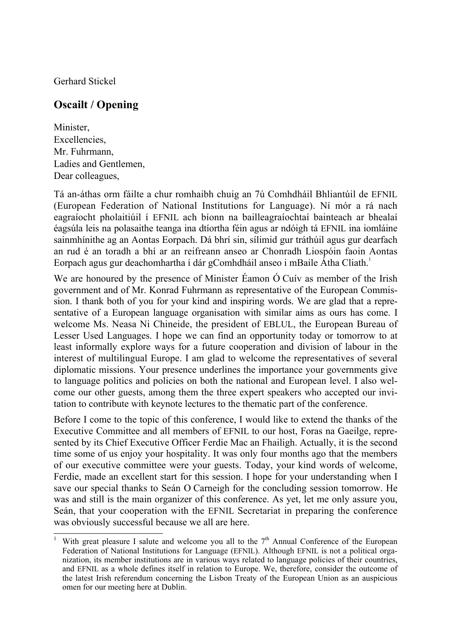Gerhard Stickel

 $\overline{a}$ 

## **Oscailt / Opening**

Minister, Excellencies, Mr. Fuhrmann, Ladies and Gentlemen, Dear colleagues,

Tá an-áthas orm fáilte a chur romhaibh chuig an 7ú Comhdháil Bhliantúil de EFNIL (European Federation of National Institutions for Language). Ní mór a rá nach eagraíocht pholaitiúil í EFNIL ach bíonn na bailleagraíochtaí bainteach ar bhealaí éagsúla leis na polasaithe teanga ina dtíortha féin agus ar ndóigh tá EFNIL ina iomláine sainmhínithe ag an Aontas Eorpach. Dá bhrí sin, sílimid gur tráthúil agus gur dearfach an rud é an toradh a bhí ar an reifreann anseo ar Chonradh Liospóin faoin Aontas Eorpach agus gur deachomhartha í dár gComhdháil anseo i mBaile Átha Cliath.<sup>1</sup>

We are honoured by the presence of Minister Éamon Ó Cuív as member of the Irish government and of Mr. Konrad Fuhrmann as representative of the European Commission. I thank both of you for your kind and inspiring words. We are glad that a representative of a European language organisation with similar aims as ours has come. I welcome Ms. Neasa Ni Chineide, the president of EBLUL, the European Bureau of Lesser Used Languages. I hope we can find an opportunity today or tomorrow to at least informally explore ways for a future cooperation and division of labour in the interest of multilingual Europe. I am glad to welcome the representatives of several diplomatic missions. Your presence underlines the importance your governments give to language politics and policies on both the national and European level. I also welcome our other guests, among them the three expert speakers who accepted our invitation to contribute with keynote lectures to the thematic part of the conference.

Before I come to the topic of this conference, I would like to extend the thanks of the Executive Committee and all members of EFNIL to our host, Foras na Gaeilge, represented by its Chief Executive Officer Ferdie Mac an Fhailigh. Actually, it is the second time some of us enjoy your hospitality. It was only four months ago that the members of our executive committee were your guests. Today, your kind words of welcome, Ferdie, made an excellent start for this session. I hope for your understanding when I save our special thanks to Seán O Carneigh for the concluding session tomorrow. He was and still is the main organizer of this conference. As yet, let me only assure you, Seán, that your cooperation with the EFNIL Secretariat in preparing the conference was obviously successful because we all are here.

<sup>1</sup> With great pleasure I salute and welcome you all to the  $7<sup>th</sup>$  Annual Conference of the European Federation of National Institutions for Language (EFNIL). Although EFNIL is not a political organization, its member institutions are in various ways related to language policies of their countries, and EFNIL as a whole defines itself in relation to Europe. We, therefore, consider the outcome of the latest Irish referendum concerning the Lisbon Treaty of the European Union as an auspicious omen for our meeting here at Dublin.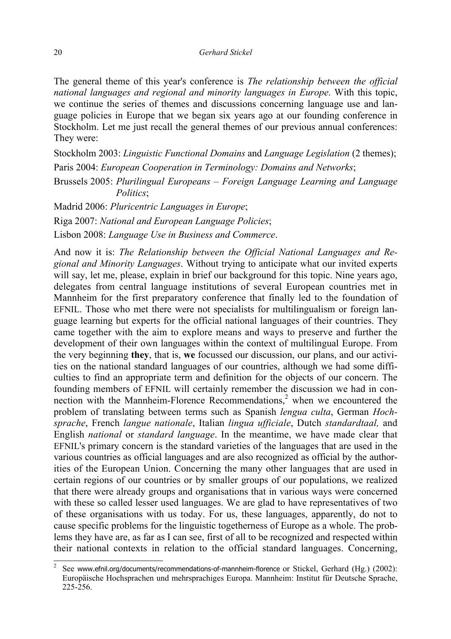The general theme of this year's conference is *The relationship between the official national languages and regional and minority languages in Europe*. With this topic, we continue the series of themes and discussions concerning language use and language policies in Europe that we began six years ago at our founding conference in Stockholm. Let me just recall the general themes of our previous annual conferences: They were:

Stockholm 2003: *Linguistic Functional Domains* and *Language Legislation* (2 themes); Paris 2004: *European Cooperation in Terminology: Domains and Networks*; Brussels 2005: *Plurilingual Europeans – Foreign Language Learning and Language Politics*;

Madrid 2006: *Pluricentric Languages in Europe*; Riga 2007: *National and European Language Policies*; Lisbon 2008: *Language Use in Business and Commerce*.

And now it is: *The Relationship between the Official National Languages and Regional and Minority Languages*. Without trying to anticipate what our invited experts will say, let me, please, explain in brief our background for this topic. Nine years ago, delegates from central language institutions of several European countries met in Mannheim for the first preparatory conference that finally led to the foundation of EFNIL. Those who met there were not specialists for multilingualism or foreign language learning but experts for the official national languages of their countries. They came together with the aim to explore means and ways to preserve and further the development of their own languages within the context of multilingual Europe. From the very beginning **they**, that is, **we** focussed our discussion, our plans, and our activities on the national standard languages of our countries, although we had some difficulties to find an appropriate term and definition for the objects of our concern. The founding members of EFNIL will certainly remember the discussion we had in connection with the Mannheim-Florence Recommendations, $2$  when we encountered the problem of translating between terms such as Spanish *lengua culta*, German *Hochsprache*, French *langue nationale*, Italian *lingua ufficiale*, Dutch *standardtaal,* and English *national* or *standard language*. In the meantime, we have made clear that EFNIL's primary concern is the standard varieties of the languages that are used in the various countries as official languages and are also recognized as official by the authorities of the European Union. Concerning the many other languages that are used in certain regions of our countries or by smaller groups of our populations, we realized that there were already groups and organisations that in various ways were concerned with these so called lesser used languages. We are glad to have representatives of two of these organisations with us today. For us, these languages, apparently, do not to cause specific problems for the linguistic togetherness of Europe as a whole. The problems they have are, as far as I can see, first of all to be recognized and respected within their national contexts in relation to the official standard languages. Concerning,

 $\overline{a}$ 

<sup>2</sup> See www.efnil.org/documents/recommendations-of-mannheim-florence or Stickel, Gerhard (Hg.) (2002): Europäische Hochsprachen und mehrsprachiges Europa. Mannheim: Institut für Deutsche Sprache, 225-256.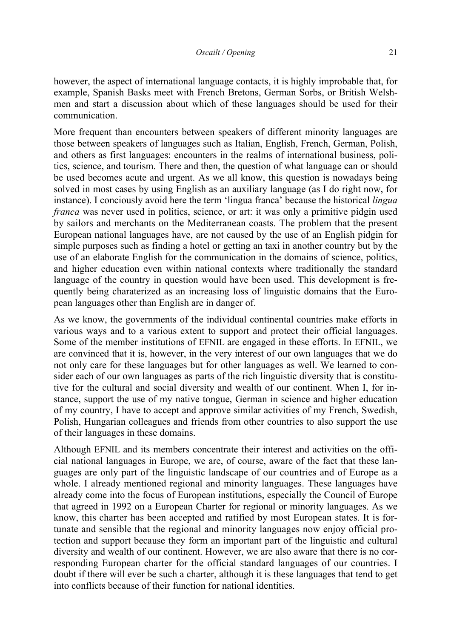however, the aspect of international language contacts, it is highly improbable that, for example, Spanish Basks meet with French Bretons, German Sorbs, or British Welshmen and start a discussion about which of these languages should be used for their communication.

More frequent than encounters between speakers of different minority languages are those between speakers of languages such as Italian, English, French, German, Polish, and others as first languages: encounters in the realms of international business, politics, science, and tourism. There and then, the question of what language can or should be used becomes acute and urgent. As we all know, this question is nowadays being solved in most cases by using English as an auxiliary language (as I do right now, for instance). I conciously avoid here the term 'lingua franca' because the historical *lingua franca* was never used in politics, science, or art: it was only a primitive pidgin used by sailors and merchants on the Mediterranean coasts. The problem that the present European national languages have, are not caused by the use of an English pidgin for simple purposes such as finding a hotel or getting an taxi in another country but by the use of an elaborate English for the communication in the domains of science, politics, and higher education even within national contexts where traditionally the standard language of the country in question would have been used. This development is frequently being charaterized as an increasing loss of linguistic domains that the European languages other than English are in danger of.

As we know, the governments of the individual continental countries make efforts in various ways and to a various extent to support and protect their official languages. Some of the member institutions of EFNIL are engaged in these efforts. In EFNIL, we are convinced that it is, however, in the very interest of our own languages that we do not only care for these languages but for other languages as well. We learned to consider each of our own languages as parts of the rich linguistic diversity that is constitutive for the cultural and social diversity and wealth of our continent. When I, for instance, support the use of my native tongue, German in science and higher education of my country, I have to accept and approve similar activities of my French, Swedish, Polish, Hungarian colleagues and friends from other countries to also support the use of their languages in these domains.

Although EFNIL and its members concentrate their interest and activities on the official national languages in Europe, we are, of course, aware of the fact that these languages are only part of the linguistic landscape of our countries and of Europe as a whole. I already mentioned regional and minority languages. These languages have already come into the focus of European institutions, especially the Council of Europe that agreed in 1992 on a European Charter for regional or minority languages. As we know, this charter has been accepted and ratified by most European states. It is fortunate and sensible that the regional and minority languages now enjoy official protection and support because they form an important part of the linguistic and cultural diversity and wealth of our continent. However, we are also aware that there is no corresponding European charter for the official standard languages of our countries. I doubt if there will ever be such a charter, although it is these languages that tend to get into conflicts because of their function for national identities.